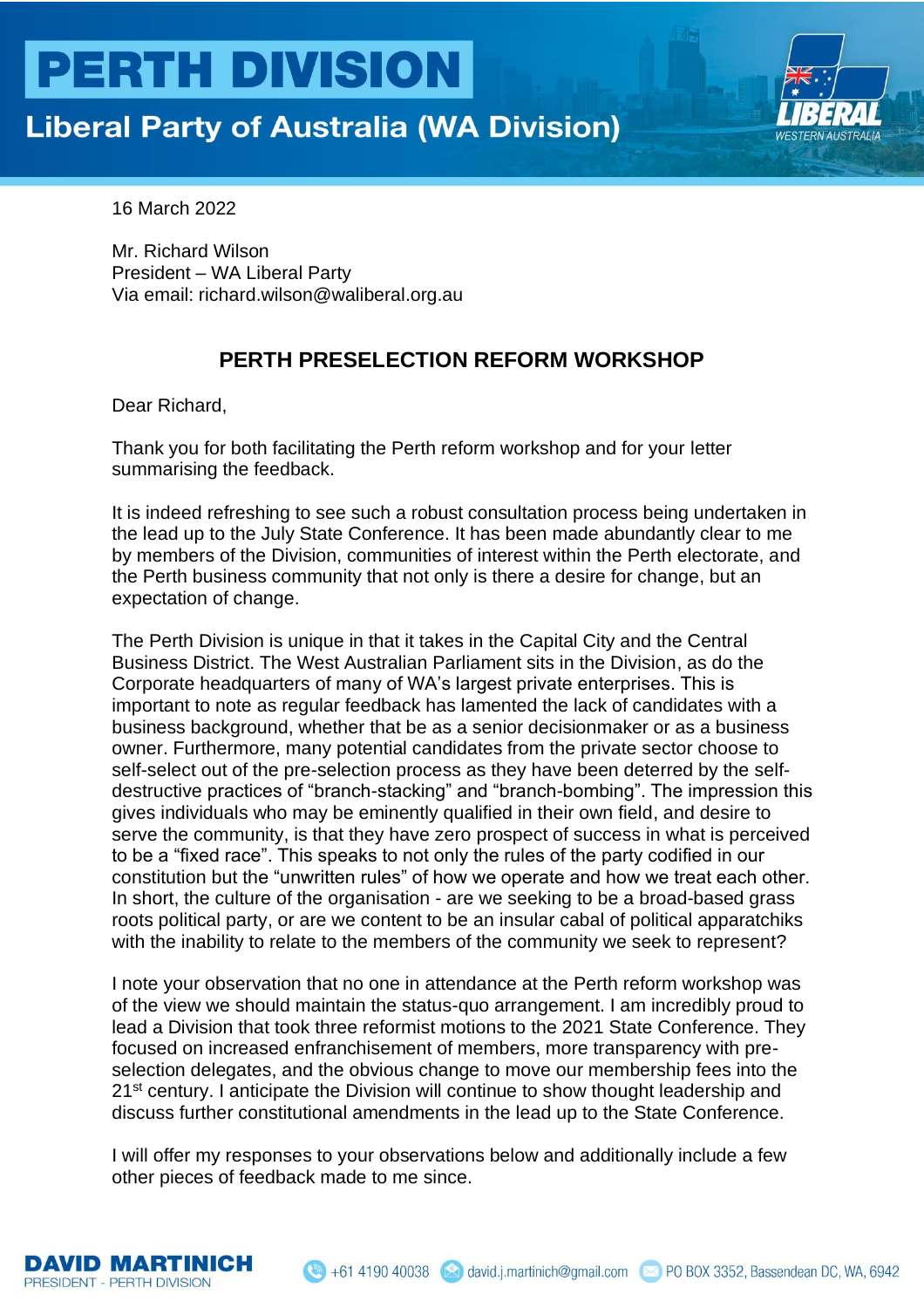### **Liberal Party of Australia (WA Division)**



16 March 2022

Mr. Richard Wilson President – WA Liberal Party Via email: richard.wilson@waliberal.org.au

### **PERTH PRESELECTION REFORM WORKSHOP**

Dear Richard,

Thank you for both facilitating the Perth reform workshop and for your letter summarising the feedback.

It is indeed refreshing to see such a robust consultation process being undertaken in the lead up to the July State Conference. It has been made abundantly clear to me by members of the Division, communities of interest within the Perth electorate, and the Perth business community that not only is there a desire for change, but an expectation of change.

The Perth Division is unique in that it takes in the Capital City and the Central Business District. The West Australian Parliament sits in the Division, as do the Corporate headquarters of many of WA's largest private enterprises. This is important to note as regular feedback has lamented the lack of candidates with a business background, whether that be as a senior decisionmaker or as a business owner. Furthermore, many potential candidates from the private sector choose to self-select out of the pre-selection process as they have been deterred by the selfdestructive practices of "branch-stacking" and "branch-bombing". The impression this gives individuals who may be eminently qualified in their own field, and desire to serve the community, is that they have zero prospect of success in what is perceived to be a "fixed race". This speaks to not only the rules of the party codified in our constitution but the "unwritten rules" of how we operate and how we treat each other. In short, the culture of the organisation - are we seeking to be a broad-based grass roots political party, or are we content to be an insular cabal of political apparatchiks with the inability to relate to the members of the community we seek to represent?

I note your observation that no one in attendance at the Perth reform workshop was of the view we should maintain the status-quo arrangement. I am incredibly proud to lead a Division that took three reformist motions to the 2021 State Conference. They focused on increased enfranchisement of members, more transparency with preselection delegates, and the obvious change to move our membership fees into the 21<sup>st</sup> century. I anticipate the Division will continue to show thought leadership and discuss further constitutional amendments in the lead up to the State Conference.

I will offer my responses to your observations below and additionally include a few other pieces of feedback made to me since.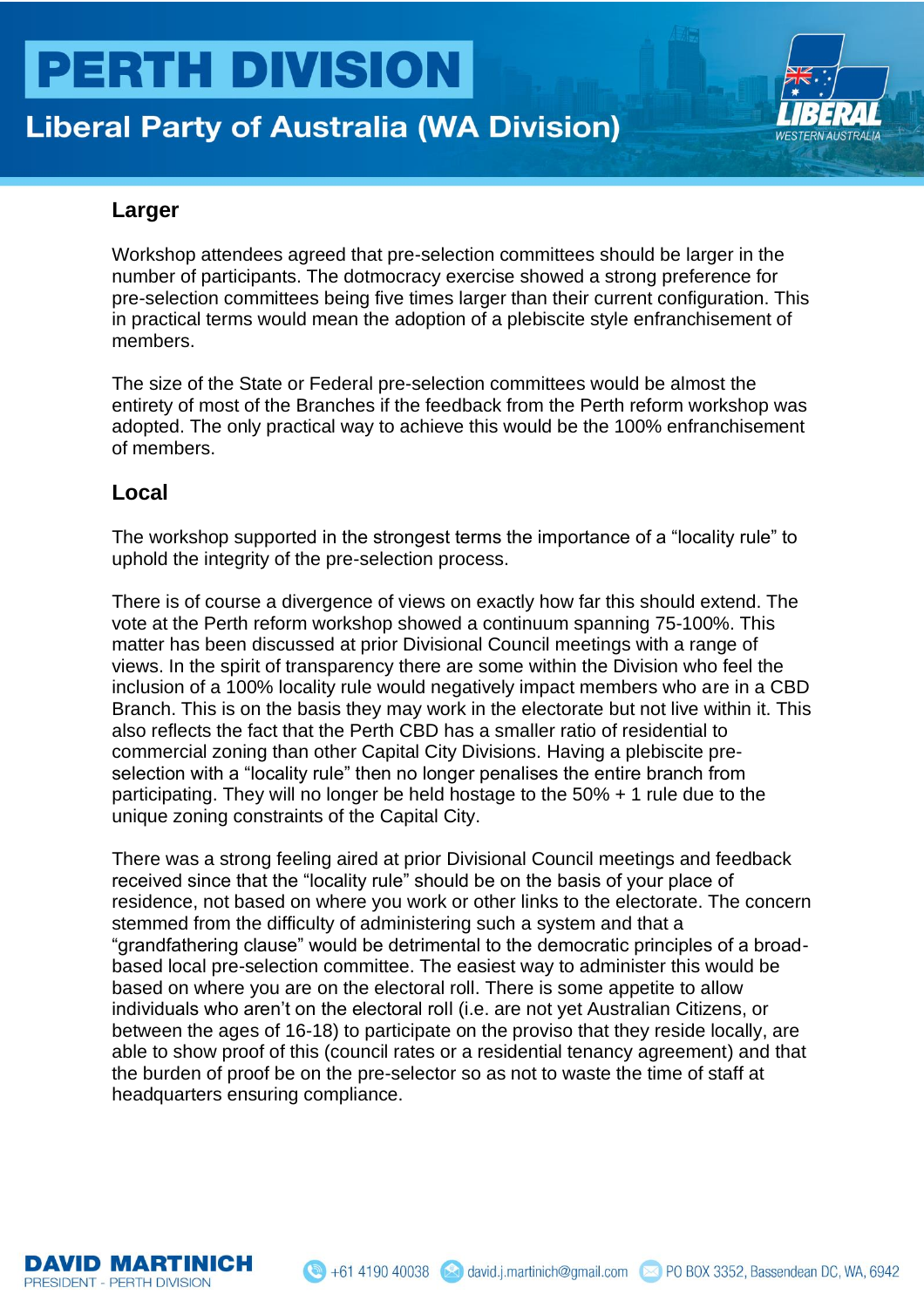## **Liberal Party of Australia (WA Division)**



#### **Larger**

Workshop attendees agreed that pre-selection committees should be larger in the number of participants. The dotmocracy exercise showed a strong preference for pre-selection committees being five times larger than their current configuration. This in practical terms would mean the adoption of a plebiscite style enfranchisement of members.

The size of the State or Federal pre-selection committees would be almost the entirety of most of the Branches if the feedback from the Perth reform workshop was adopted. The only practical way to achieve this would be the 100% enfranchisement of members.

#### **Local**

The workshop supported in the strongest terms the importance of a "locality rule" to uphold the integrity of the pre-selection process.

There is of course a divergence of views on exactly how far this should extend. The vote at the Perth reform workshop showed a continuum spanning 75-100%. This matter has been discussed at prior Divisional Council meetings with a range of views. In the spirit of transparency there are some within the Division who feel the inclusion of a 100% locality rule would negatively impact members who are in a CBD Branch. This is on the basis they may work in the electorate but not live within it. This also reflects the fact that the Perth CBD has a smaller ratio of residential to commercial zoning than other Capital City Divisions. Having a plebiscite preselection with a "locality rule" then no longer penalises the entire branch from participating. They will no longer be held hostage to the 50% + 1 rule due to the unique zoning constraints of the Capital City.

There was a strong feeling aired at prior Divisional Council meetings and feedback received since that the "locality rule" should be on the basis of your place of residence, not based on where you work or other links to the electorate. The concern stemmed from the difficulty of administering such a system and that a "grandfathering clause" would be detrimental to the democratic principles of a broadbased local pre-selection committee. The easiest way to administer this would be based on where you are on the electoral roll. There is some appetite to allow individuals who aren't on the electoral roll (i.e. are not yet Australian Citizens, or between the ages of 16-18) to participate on the proviso that they reside locally, are able to show proof of this (council rates or a residential tenancy agreement) and that the burden of proof be on the pre-selector so as not to waste the time of staff at headquarters ensuring compliance.

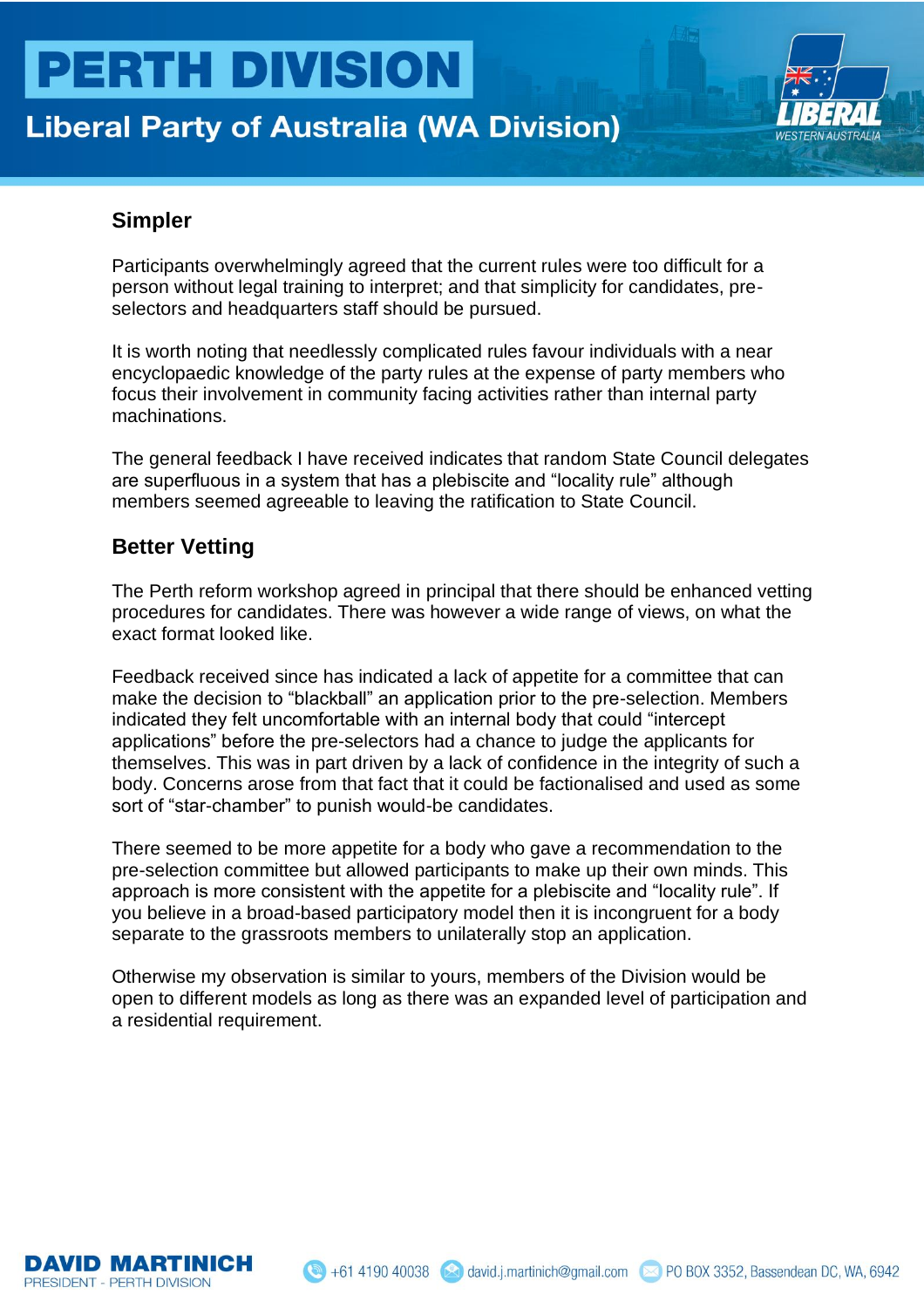## **Liberal Party of Australia (WA Division)**



#### **Simpler**

Participants overwhelmingly agreed that the current rules were too difficult for a person without legal training to interpret; and that simplicity for candidates, preselectors and headquarters staff should be pursued.

It is worth noting that needlessly complicated rules favour individuals with a near encyclopaedic knowledge of the party rules at the expense of party members who focus their involvement in community facing activities rather than internal party machinations.

The general feedback I have received indicates that random State Council delegates are superfluous in a system that has a plebiscite and "locality rule" although members seemed agreeable to leaving the ratification to State Council.

#### **Better Vetting**

The Perth reform workshop agreed in principal that there should be enhanced vetting procedures for candidates. There was however a wide range of views, on what the exact format looked like.

Feedback received since has indicated a lack of appetite for a committee that can make the decision to "blackball" an application prior to the pre-selection. Members indicated they felt uncomfortable with an internal body that could "intercept applications" before the pre-selectors had a chance to judge the applicants for themselves. This was in part driven by a lack of confidence in the integrity of such a body. Concerns arose from that fact that it could be factionalised and used as some sort of "star-chamber" to punish would-be candidates.

There seemed to be more appetite for a body who gave a recommendation to the pre-selection committee but allowed participants to make up their own minds. This approach is more consistent with the appetite for a plebiscite and "locality rule". If you believe in a broad-based participatory model then it is incongruent for a body separate to the grassroots members to unilaterally stop an application.

Otherwise my observation is similar to yours, members of the Division would be open to different models as long as there was an expanded level of participation and a residential requirement.

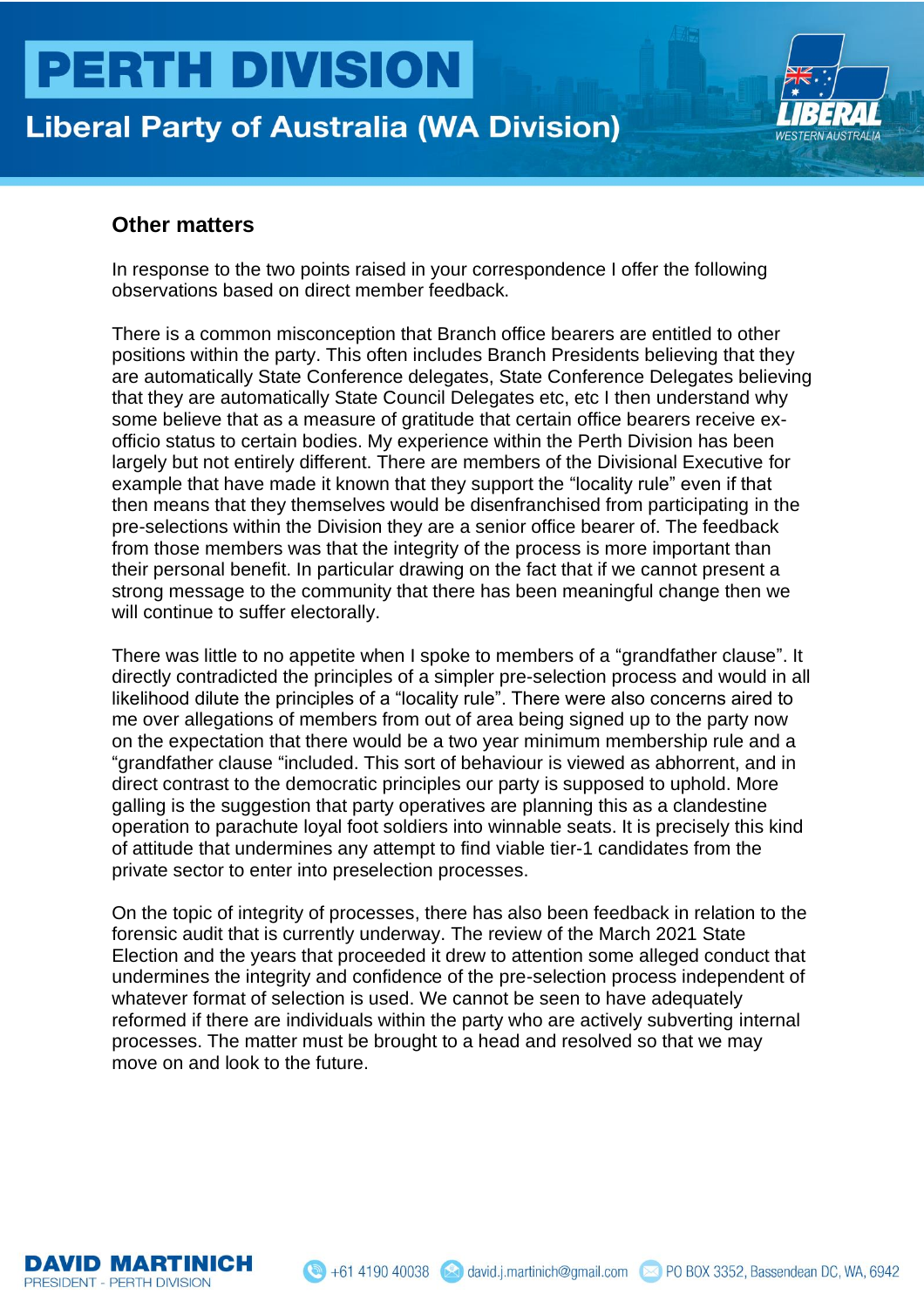### **Liberal Party of Australia (WA Division)**



#### **Other matters**

In response to the two points raised in your correspondence I offer the following observations based on direct member feedback.

There is a common misconception that Branch office bearers are entitled to other positions within the party. This often includes Branch Presidents believing that they are automatically State Conference delegates, State Conference Delegates believing that they are automatically State Council Delegates etc, etc I then understand why some believe that as a measure of gratitude that certain office bearers receive exofficio status to certain bodies. My experience within the Perth Division has been largely but not entirely different. There are members of the Divisional Executive for example that have made it known that they support the "locality rule" even if that then means that they themselves would be disenfranchised from participating in the pre-selections within the Division they are a senior office bearer of. The feedback from those members was that the integrity of the process is more important than their personal benefit. In particular drawing on the fact that if we cannot present a strong message to the community that there has been meaningful change then we will continue to suffer electorally.

There was little to no appetite when I spoke to members of a "grandfather clause". It directly contradicted the principles of a simpler pre-selection process and would in all likelihood dilute the principles of a "locality rule". There were also concerns aired to me over allegations of members from out of area being signed up to the party now on the expectation that there would be a two year minimum membership rule and a "grandfather clause "included. This sort of behaviour is viewed as abhorrent, and in direct contrast to the democratic principles our party is supposed to uphold. More galling is the suggestion that party operatives are planning this as a clandestine operation to parachute loyal foot soldiers into winnable seats. It is precisely this kind of attitude that undermines any attempt to find viable tier-1 candidates from the private sector to enter into preselection processes.

On the topic of integrity of processes, there has also been feedback in relation to the forensic audit that is currently underway. The review of the March 2021 State Election and the years that proceeded it drew to attention some alleged conduct that undermines the integrity and confidence of the pre-selection process independent of whatever format of selection is used. We cannot be seen to have adequately reformed if there are individuals within the party who are actively subverting internal processes. The matter must be brought to a head and resolved so that we may move on and look to the future.